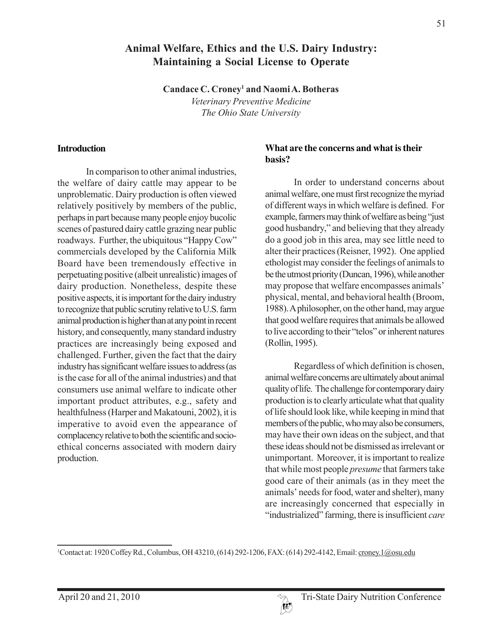# **Animal Welfare, Ethics and the U.S. Dairy Industry: Maintaining a Social License to Operate**

**Candace C. Croney1 and Naomi A. Botheras**

*Veterinary Preventive Medicine The Ohio State University*

#### **Introduction**

In comparison to other animal industries, the welfare of dairy cattle may appear to be unproblematic. Dairy production is often viewed relatively positively by members of the public, perhaps in part because many people enjoy bucolic scenes of pastured dairy cattle grazing near public roadways. Further, the ubiquitous "Happy Cow" commercials developed by the California Milk Board have been tremendously effective in perpetuating positive (albeit unrealistic) images of dairy production. Nonetheless, despite these positive aspects, it is important for the dairy industry to recognize that public scrutiny relative to U.S. farm animal production is higher than at any point in recent history, and consequently, many standard industry practices are increasingly being exposed and challenged. Further, given the fact that the dairy industry has significant welfare issues to address (as is the case for all of the animal industries) and that consumers use animal welfare to indicate other important product attributes, e.g., safety and healthfulness (Harper and Makatouni, 2002), it is imperative to avoid even the appearance of complacency relative to both the scientific and socioethical concerns associated with modern dairy production.

#### **What are the concerns and what is their basis?**

In order to understand concerns about animal welfare, one must first recognize the myriad of different ways in which welfare is defined. For example, farmers may think of welfare as being "just good husbandry," and believing that they already do a good job in this area, may see little need to alter their practices (Reisner, 1992). One applied ethologist may consider the feelings of animals to be the utmost priority (Duncan, 1996), while another may propose that welfare encompasses animals' physical, mental, and behavioral health (Broom, 1988). A philosopher, on the other hand, may argue that good welfare requires that animals be allowed to live according to their "telos" or inherent natures (Rollin, 1995).

Regardless of which definition is chosen, animal welfare concerns are ultimately about animal quality of life. The challenge for contemporary dairy production is to clearly articulate what that quality of life should look like, while keeping in mind that members of the public, who may also be consumers, may have their own ideas on the subject, and that these ideas should not be dismissed as irrelevant or unimportant. Moreover, it is important to realize that while most people *presume* that farmers take good care of their animals (as in they meet the animals' needs for food, water and shelter), many are increasingly concerned that especially in "industrialized" farming, there is insufficient *care*

<sup>1</sup>Contact at: 1920 Coffey Rd., Columbus, OH 43210, (614) 292-1206, FAX: (614) 292-4142, Email: croney.1@osu.edu

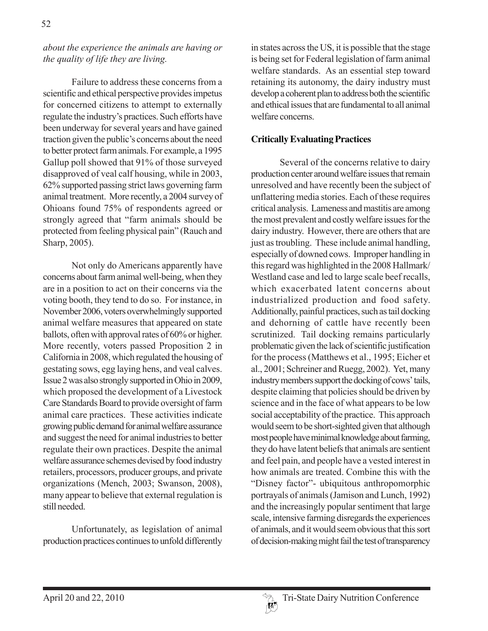*about the experience the animals are having or the quality of life they are living.*

Failure to address these concerns from a scientific and ethical perspective provides impetus for concerned citizens to attempt to externally regulate the industry's practices. Such efforts have been underway for several years and have gained traction given the public's concerns about the need to better protect farm animals. For example, a 1995 Gallup poll showed that 91% of those surveyed disapproved of veal calf housing, while in 2003, 62% supported passing strict laws governing farm animal treatment. More recently, a 2004 survey of Ohioans found 75% of respondents agreed or strongly agreed that "farm animals should be protected from feeling physical pain" (Rauch and Sharp, 2005).

Not only do Americans apparently have concerns about farm animal well-being, when they are in a position to act on their concerns via the voting booth, they tend to do so. For instance, in November 2006, voters overwhelmingly supported animal welfare measures that appeared on state ballots, often with approval rates of 60% or higher. More recently, voters passed Proposition 2 in California in 2008, which regulated the housing of gestating sows, egg laying hens, and veal calves. Issue 2 was also strongly supported in Ohio in 2009, which proposed the development of a Livestock Care Standards Board to provide oversight of farm animal care practices. These activities indicate growing public demand for animal welfare assurance and suggest the need for animal industries to better regulate their own practices. Despite the animal welfare assurance schemes devised by food industry retailers, processors, producer groups, and private organizations (Mench, 2003; Swanson, 2008), many appear to believe that external regulation is still needed.

Unfortunately, as legislation of animal production practices continues to unfold differently in states across the US, it is possible that the stage is being set for Federal legislation of farm animal welfare standards. As an essential step toward retaining its autonomy, the dairy industry must develop a coherent plan to address both the scientific and ethical issues that are fundamental to all animal welfare concerns.

#### **Critically Evaluating Practices**

Several of the concerns relative to dairy production center around welfare issues that remain unresolved and have recently been the subject of unflattering media stories. Each of these requires critical analysis. Lameness and mastitis are among the most prevalent and costly welfare issues for the dairy industry. However, there are others that are just as troubling. These include animal handling, especially of downed cows. Improper handling in this regard was highlighted in the 2008 Hallmark/ Westland case and led to large scale beef recalls, which exacerbated latent concerns about industrialized production and food safety. Additionally, painful practices, such as tail docking and dehorning of cattle have recently been scrutinized. Tail docking remains particularly problematic given the lack of scientific justification for the process (Matthews et al., 1995; Eicher et al., 2001; Schreiner and Ruegg, 2002). Yet, many industry members support the docking of cows' tails, despite claiming that policies should be driven by science and in the face of what appears to be low social acceptability of the practice. This approach would seem to be short-sighted given that although most people have minimal knowledge about farming, they do have latent beliefs that animals are sentient and feel pain, and people have a vested interest in how animals are treated. Combine this with the "Disney factor"- ubiquitous anthropomorphic portrayals of animals (Jamison and Lunch, 1992) and the increasingly popular sentiment that large scale, intensive farming disregards the experiences of animals, and it would seem obvious that this sort of decision-making might fail the test of transparency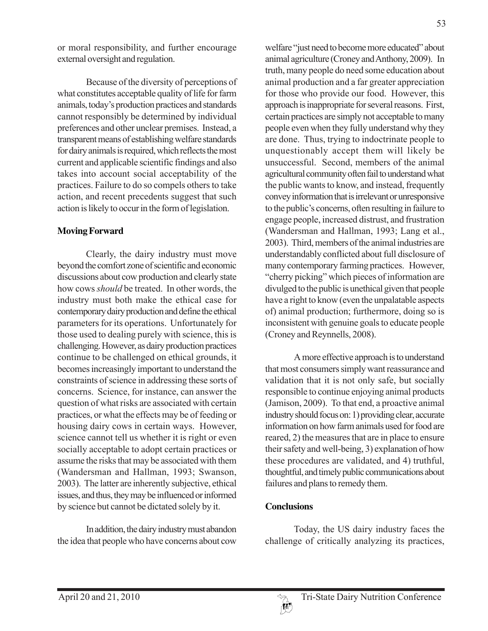or moral responsibility, and further encourage external oversight and regulation.

Because of the diversity of perceptions of what constitutes acceptable quality of life for farm animals, today's production practices and standards cannot responsibly be determined by individual preferences and other unclear premises. Instead, a transparent means of establishing welfare standards for dairy animals is required, which reflects the most current and applicable scientific findings and also takes into account social acceptability of the practices. Failure to do so compels others to take action, and recent precedents suggest that such action is likely to occur in the form of legislation.

### **Moving Forward**

Clearly, the dairy industry must move beyond the comfort zone of scientific and economic discussions about cow production and clearly state how cows *should* be treated. In other words, the industry must both make the ethical case for contemporary dairy production and define the ethical parameters for its operations. Unfortunately for those used to dealing purely with science, this is challenging. However, as dairy production practices continue to be challenged on ethical grounds, it becomes increasingly important to understand the constraints of science in addressing these sorts of concerns. Science, for instance, can answer the question of what risks are associated with certain practices, or what the effects may be of feeding or housing dairy cows in certain ways. However, science cannot tell us whether it is right or even socially acceptable to adopt certain practices or assume the risks that may be associated with them (Wandersman and Hallman, 1993; Swanson, 2003). The latter are inherently subjective, ethical issues, and thus, they may be influenced or informed by science but cannot be dictated solely by it.

In addition, the dairy industry must abandon the idea that people who have concerns about cow

welfare "just need to become more educated" about animal agriculture (Croney and Anthony, 2009). In truth, many people do need some education about animal production and a far greater appreciation for those who provide our food. However, this approach is inappropriate for several reasons. First, certain practices are simply not acceptable to many people even when they fully understand why they are done. Thus, trying to indoctrinate people to unquestionably accept them will likely be unsuccessful. Second, members of the animal agricultural community often fail to understand what the public wants to know, and instead, frequently convey information that is irrelevant or unresponsive to the public's concerns, often resulting in failure to engage people, increased distrust, and frustration (Wandersman and Hallman, 1993; Lang et al., 2003). Third, members of the animal industries are understandably conflicted about full disclosure of many contemporary farming practices. However, "cherry picking" which pieces of information are divulged to the public is unethical given that people have a right to know (even the unpalatable aspects of) animal production; furthermore, doing so is inconsistent with genuine goals to educate people (Croney and Reynnells, 2008).

A more effective approach is to understand that most consumers simply want reassurance and validation that it is not only safe, but socially responsible to continue enjoying animal products (Jamison, 2009). To that end, a proactive animal industry should focus on: 1) providing clear, accurate information on how farm animals used for food are reared, 2) the measures that are in place to ensure their safety and well-being, 3) explanation of how these procedures are validated, and 4) truthful, thoughtful, and timely public communications about failures and plans to remedy them.

## **Conclusions**

Today, the US dairy industry faces the challenge of critically analyzing its practices,

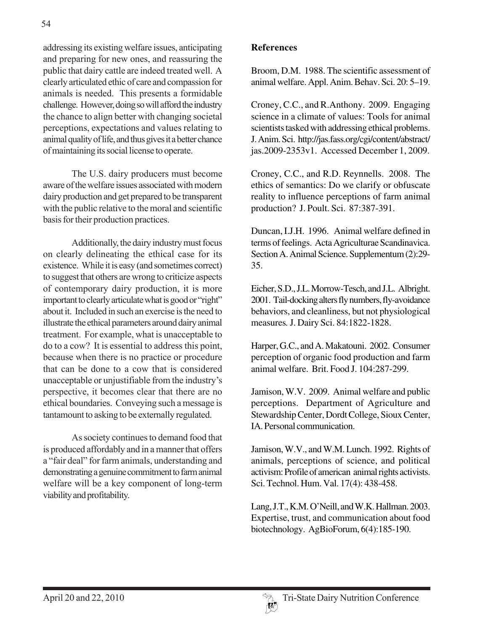addressing its existing welfare issues, anticipating and preparing for new ones, and reassuring the public that dairy cattle are indeed treated well. A clearly articulated ethic of care and compassion for animals is needed. This presents a formidable challenge. However, doing so will afford the industry the chance to align better with changing societal perceptions, expectations and values relating to animal quality of life, and thus gives it a better chance of maintaining its social license to operate.

The U.S. dairy producers must become aware of the welfare issues associated with modern dairy production and get prepared to be transparent with the public relative to the moral and scientific basis for their production practices.

Additionally, the dairy industry must focus on clearly delineating the ethical case for its existence. While it is easy (and sometimes correct) to suggest that others are wrong to criticize aspects of contemporary dairy production, it is more important to clearly articulate what is good or "right" about it. Included in such an exercise is the need to illustrate the ethical parameters around dairy animal treatment. For example, what is unacceptable to do to a cow? It is essential to address this point, because when there is no practice or procedure that can be done to a cow that is considered unacceptable or unjustifiable from the industry's perspective, it becomes clear that there are no ethical boundaries. Conveying such a message is tantamount to asking to be externally regulated.

As society continues to demand food that is produced affordably and in a manner that offers a "fair deal" for farm animals, understanding and demonstrating a genuine commitment to farm animal welfare will be a key component of long-term viability and profitability.

## **References**

Broom, D.M. 1988. The scientific assessment of animal welfare. Appl. Anim. Behav. Sci. 20: 5–19.

Croney, C.C., and R.Anthony. 2009. Engaging science in a climate of values: Tools for animal scientists tasked with addressing ethical problems. J. Anim. Sci. http://jas.fass.org/cgi/content/abstract/ jas.2009-2353v1. Accessed December 1, 2009.

Croney, C.C., and R.D. Reynnells. 2008. The ethics of semantics: Do we clarify or obfuscate reality to influence perceptions of farm animal production? J. Poult. Sci. 87:387-391.

Duncan, I.J.H. 1996. Animal welfare defined in terms of feelings. Acta Agriculturae Scandinavica. Section A. Animal Science. Supplementum (2):29- 35.

Eicher, S.D., J.L. Morrow-Tesch, and J.L. Albright. 2001. Tail-docking alters fly numbers, fly-avoidance behaviors, and cleanliness, but not physiological measures*.* J. Dairy Sci. 84:1822-1828.

Harper, G.C., and A. Makatouni. 2002. Consumer perception of organic food production and farm animal welfare. Brit. Food J. 104:287-299.

Jamison, W.V. 2009. Animal welfare and public perceptions. Department of Agriculture and Stewardship Center, Dordt College, Sioux Center, IA. Personal communication.

Jamison, W.V., and W.M. Lunch. 1992. Rights of animals, perceptions of science, and political activism: Profile of american animal rights activists. Sci. Technol. Hum. Val. 17(4): 438-458.

Lang, J.T., K.M. O'Neill, and W.K. Hallman. 2003. Expertise, trust, and communication about food biotechnology. AgBioForum, 6(4):185-190.